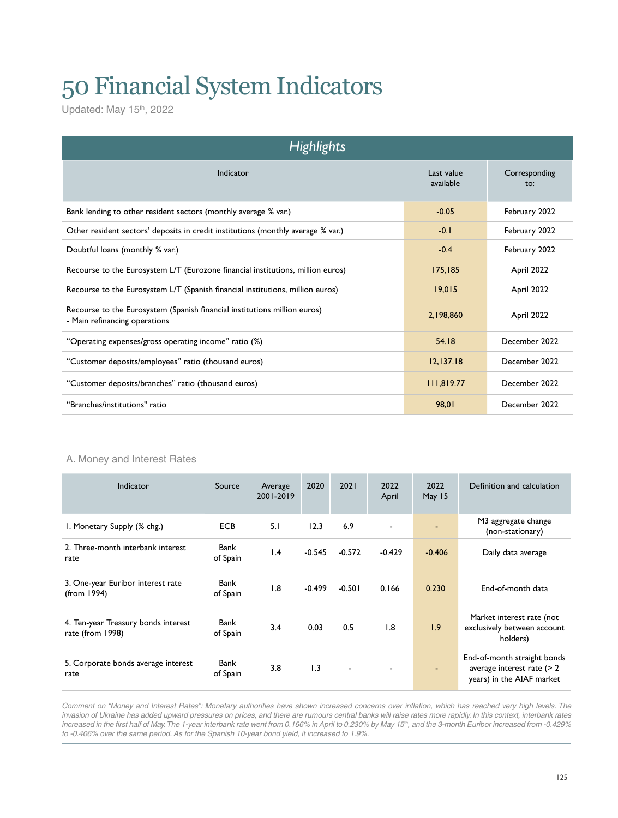# 50 Financial System Indicators

Updated: May 15<sup>th</sup>, 2022

| <b>Highlights</b>                                                                                          |                         |                      |  |  |  |  |  |  |
|------------------------------------------------------------------------------------------------------------|-------------------------|----------------------|--|--|--|--|--|--|
| Indicator                                                                                                  | Last value<br>available | Corresponding<br>to: |  |  |  |  |  |  |
| Bank lending to other resident sectors (monthly average % var.)                                            | $-0.05$                 | February 2022        |  |  |  |  |  |  |
| Other resident sectors' deposits in credit institutions (monthly average % var.)                           | $-0.1$                  | February 2022        |  |  |  |  |  |  |
| Doubtful loans (monthly % var.)                                                                            | $-0.4$                  | February 2022        |  |  |  |  |  |  |
| Recourse to the Eurosystem L/T (Eurozone financial institutions, million euros)                            | 175,185                 | April 2022           |  |  |  |  |  |  |
| Recourse to the Eurosystem L/T (Spanish financial institutions, million euros)                             | 19.015                  | April 2022           |  |  |  |  |  |  |
| Recourse to the Eurosystem (Spanish financial institutions million euros)<br>- Main refinancing operations | 2,198,860               | April 2022           |  |  |  |  |  |  |
| "Operating expenses/gross operating income" ratio (%)                                                      | 54.18                   | December 2022        |  |  |  |  |  |  |
| "Customer deposits/employees" ratio (thousand euros)                                                       | 12, 137.18              | December 2022        |  |  |  |  |  |  |
| "Customer deposits/branches" ratio (thousand euros)                                                        | 111,819.77              | December 2022        |  |  |  |  |  |  |
| "Branches/institutions" ratio                                                                              | 98.01                   | December 2022        |  |  |  |  |  |  |

#### A. Money and Interest Rates

| Indicator                                               | Source           | Average<br>2001-2019 | 2020     | 2021                     | 2022<br>April | 2022<br>May 15 | Definition and calculation                                                                |
|---------------------------------------------------------|------------------|----------------------|----------|--------------------------|---------------|----------------|-------------------------------------------------------------------------------------------|
| I. Monetary Supply (% chg.)                             | <b>ECB</b>       | 5.1                  | 12.3     | 6.9                      |               |                | M3 aggregate change<br>(non-stationary)                                                   |
| 2. Three-month interbank interest<br>rate               | Bank<br>of Spain | $\mathsf{I}$ .4      | $-0.545$ | $-0.572$                 | $-0.429$      | $-0.406$       | Daily data average                                                                        |
| 3. One-year Euribor interest rate<br>(from 1994)        | Bank<br>of Spain | 1.8                  | $-0.499$ | $-0.501$                 | 0.166         | 0.230          | End-of-month data                                                                         |
| 4. Ten-year Treasury bonds interest<br>rate (from 1998) | Bank<br>of Spain | 3.4                  | 0.03     | 0.5                      | 1.8           | 1.9            | Market interest rate (not<br>exclusively between account<br>holders)                      |
| 5. Corporate bonds average interest<br>rate             | Bank<br>of Spain | 3.8                  | 1.3      | $\overline{\phantom{0}}$ |               | ٠              | End-of-month straight bonds<br>average interest rate $($ > 2<br>years) in the AIAF market |

*Comment on "Money and Interest Rates": Monetary authorities have shown increased concerns over inflation, which has reached very high levels. The invasion of Ukraine has added upward pressures on prices, and there are rumours central banks will raise rates more rapidly. In this context, interbank rates* increased in the first half of May. The 1-year interbank rate went from 0.166% in April to 0.230% by May 15<sup>th</sup>, and the 3-month Euribor increased from -0.429% *to -0.406% over the same period. As for the Spanish 10-year bond yield, it increased to 1.9%.*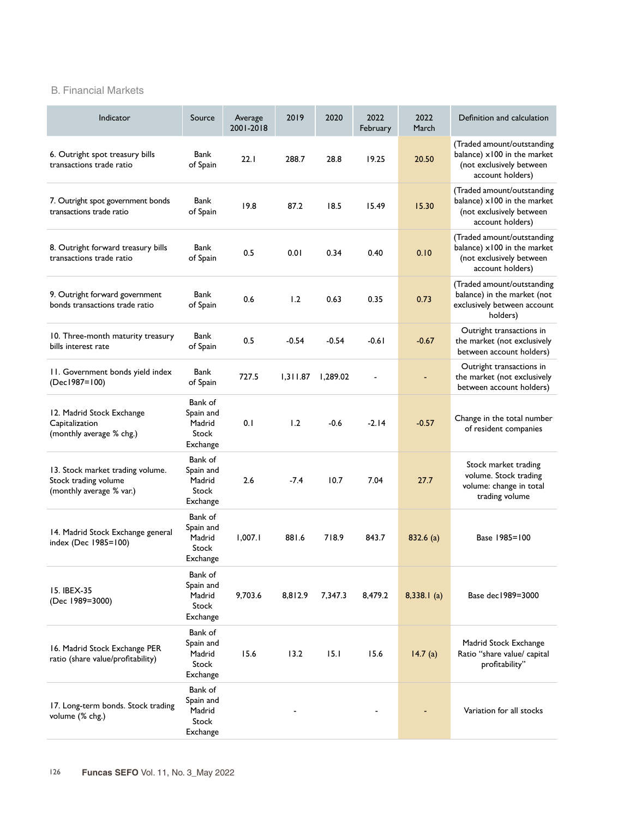#### B. Financial Markets

| Indicator                                                                            | Source                                              | Average<br>2001-2018 | 2019     | 2020     | 2022<br>February | 2022<br>March | Definition and calculation                                                                                |
|--------------------------------------------------------------------------------------|-----------------------------------------------------|----------------------|----------|----------|------------------|---------------|-----------------------------------------------------------------------------------------------------------|
| 6. Outright spot treasury bills<br>transactions trade ratio                          | Bank<br>of Spain                                    | 22.1                 | 288.7    | 28.8     | 19.25            | 20.50         | (Traded amount/outstanding<br>balance) x100 in the market<br>(not exclusively between<br>account holders) |
| 7. Outright spot government bonds<br>transactions trade ratio                        | Bank<br>of Spain                                    | 19.8                 | 87.2     | 18.5     | 15.49            | 15.30         | (Traded amount/outstanding<br>balance) x100 in the market<br>(not exclusively between<br>account holders) |
| 8. Outright forward treasury bills<br>transactions trade ratio                       | Bank<br>of Spain                                    | 0.5                  | 0.01     | 0.34     | 0.40             | 0.10          | (Traded amount/outstanding<br>balance) x100 in the market<br>(not exclusively between<br>account holders) |
| 9. Outright forward government<br>bonds transactions trade ratio                     | Bank<br>of Spain                                    | 0.6                  | 1.2      | 0.63     | 0.35             | 0.73          | (Traded amount/outstanding<br>balance) in the market (not<br>exclusively between account<br>holders)      |
| 10. Three-month maturity treasury<br>bills interest rate                             | Bank<br>of Spain                                    | 0.5                  | $-0.54$  | $-0.54$  | $-0.61$          | $-0.67$       | Outright transactions in<br>the market (not exclusively<br>between account holders)                       |
| 11. Government bonds yield index<br>(Dec1987=100)                                    | Bank<br>of Spain                                    | 727.5                | 1,311.87 | 1,289.02 | ٠                |               | Outright transactions in<br>the market (not exclusively<br>between account holders)                       |
| 12. Madrid Stock Exchange<br>Capitalization<br>(monthly average % chg.)              | Bank of<br>Spain and<br>Madrid<br>Stock<br>Exchange | 0.1                  | 1.2      | $-0.6$   | $-2.14$          | $-0.57$       | Change in the total number<br>of resident companies                                                       |
| 13. Stock market trading volume.<br>Stock trading volume<br>(monthly average % var.) | Bank of<br>Spain and<br>Madrid<br>Stock<br>Exchange | 2.6                  | $-7.4$   | 10.7     | 7.04             | 27.7          | Stock market trading<br>volume. Stock trading<br>volume: change in total<br>trading volume                |
| 14. Madrid Stock Exchange general<br>index (Dec 1985=100)                            | Bank of<br>Spain and<br>Madrid<br>Stock<br>Exchange | 1,007.1              | 881.6    | 718.9    | 843.7            | 832.6 (a)     | Base 1985=100                                                                                             |
| 15. IBEX-35<br>(Dec 1989=3000)                                                       | Bank of<br>Spain and<br>Madrid<br>Stock<br>Exchange | 9,703.6              | 8,812.9  | 7,347.3  | 8,479.2          | $8,338.1$ (a) | Base dec1989=3000                                                                                         |
| 16. Madrid Stock Exchange PER<br>ratio (share value/profitability)                   | Bank of<br>Spain and<br>Madrid<br>Stock<br>Exchange | 15.6                 | 13.2     | 15.1     | 15.6             | 14.7(a)       | Madrid Stock Exchange<br>Ratio "share value/ capital<br>profitability"                                    |
| 17. Long-term bonds. Stock trading<br>volume (% chg.)                                | Bank of<br>Spain and<br>Madrid<br>Stock<br>Exchange |                      |          |          |                  |               | Variation for all stocks                                                                                  |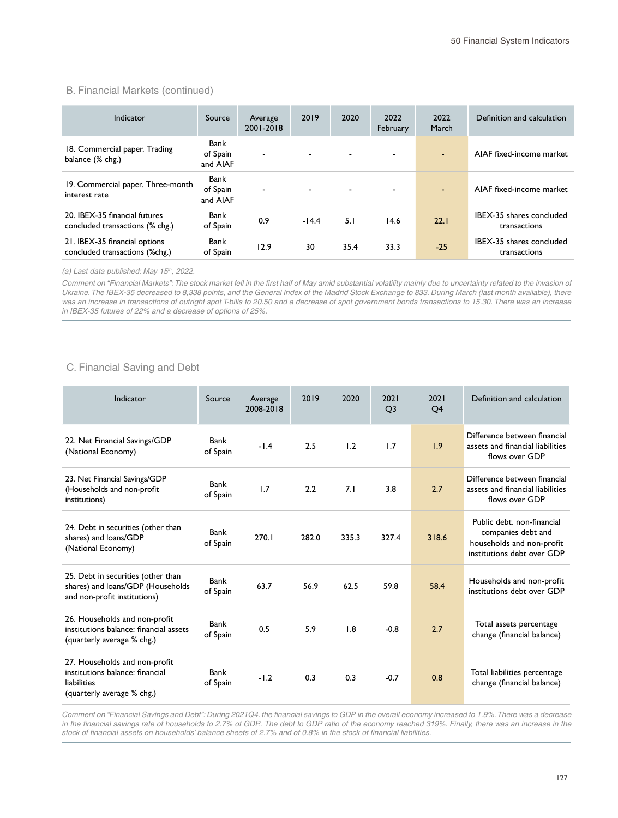#### B. Financial Markets (continued)

| Indicator                                                        | Source                       | Average<br>2001-2018 | 2019                     | 2020 | 2022<br>February         | 2022<br>March  | Definition and calculation               |
|------------------------------------------------------------------|------------------------------|----------------------|--------------------------|------|--------------------------|----------------|------------------------------------------|
| 18. Commercial paper. Trading<br>balance (% chg.)                | Bank<br>of Spain<br>and AIAF | $\blacksquare$       |                          |      | $\overline{\phantom{0}}$ | $\blacksquare$ | AIAF fixed-income market                 |
| 19. Commercial paper. Three-month<br>interest rate               | Bank<br>of Spain<br>and AIAF | $\blacksquare$       | $\overline{\phantom{a}}$ |      | $\overline{\phantom{a}}$ |                | AIAF fixed-income market                 |
| 20. IBEX-35 financial futures<br>concluded transactions (% chg.) | Bank<br>of Spain             | 0.9                  | $-14.4$                  | 5.1  | 14.6                     | 22.1           | IBEX-35 shares concluded<br>transactions |
| 21. IBEX-35 financial options<br>concluded transactions (%chg.)  | Bank<br>of Spain             | 12.9                 | 30                       | 35.4 | 33.3                     | $-25$          | IBEX-35 shares concluded<br>transactions |

*(a) Last data published: May 15th, 2022.*

*Comment on "Financial Markets": The stock market fell in the first half of May amid substantial volatility mainly due to uncertainty related to the invasion of*  Ukraine. The IBEX-35 decreased to 8,338 points, and the General Index of the Madrid Stock Exchange to 833. During March (last month available), there was an increase in transactions of outright spot T-bills to 20.50 and a decrease of spot government bonds transactions to 15.30. There was an increase *in IBEX-35 futures of 22% and a decrease of options of 25%.*

#### C. Financial Saving and Debt

| Indicator                                                                                                     | Source           | Average<br>2008-2018 | 2019  | 2020  | 2021<br>O <sub>3</sub> | 2021<br>Q <sub>4</sub> | Definition and calculation                                                                                  |
|---------------------------------------------------------------------------------------------------------------|------------------|----------------------|-------|-------|------------------------|------------------------|-------------------------------------------------------------------------------------------------------------|
| 22. Net Financial Savings/GDP<br>(National Economy)                                                           | Bank<br>of Spain | $-1.4$               | 2.5   | 1.2   | 1.7                    | 1.9                    | Difference between financial<br>assets and financial liabilities<br>flows over GDP                          |
| 23. Net Financial Savings/GDP<br>(Households and non-profit<br>institutions)                                  | Bank<br>of Spain | 1.7                  | 2.2   | 7.1   | 3.8                    | 2.7                    | Difference between financial<br>assets and financial liabilities<br>flows over GDP                          |
| 24. Debt in securities (other than<br>shares) and loans/GDP<br>(National Economy)                             | Bank<br>of Spain | 270.1                | 282.0 | 335.3 | 327.4                  | 318.6                  | Public debt. non-financial<br>companies debt and<br>households and non-profit<br>institutions debt over GDP |
| 25. Debt in securities (other than<br>shares) and loans/GDP (Households<br>and non-profit institutions)       | Bank<br>of Spain | 63.7                 | 56.9  | 62.5  | 59.8                   | 58.4                   | Households and non-profit<br>institutions debt over GDP                                                     |
| 26. Households and non-profit<br>institutions balance: financial assets<br>(quarterly average % chg.)         | Bank<br>of Spain | 0.5                  | 5.9   | 1.8   | $-0.8$                 | 2.7                    | Total assets percentage<br>change (financial balance)                                                       |
| 27. Households and non-profit<br>institutions balance: financial<br>liabilities<br>(quarterly average % chg.) | Bank<br>of Spain | $-1.2$               | 0.3   | 0.3   | $-0.7$                 | 0.8                    | Total liabilities percentage<br>change (financial balance)                                                  |

*Comment on "Financial Savings and Debt": During 2021Q4. the financial savings to GDP in the overall economy increased to 1.9%. There was a decrease in the financial savings rate of households to 2.7% of GDP.. The debt to GDP ratio of the economy reached 319%. Finally, there was an increase in the stock of financial assets on households' balance sheets of 2.7% and of 0.8% in the stock of financial liabilities.*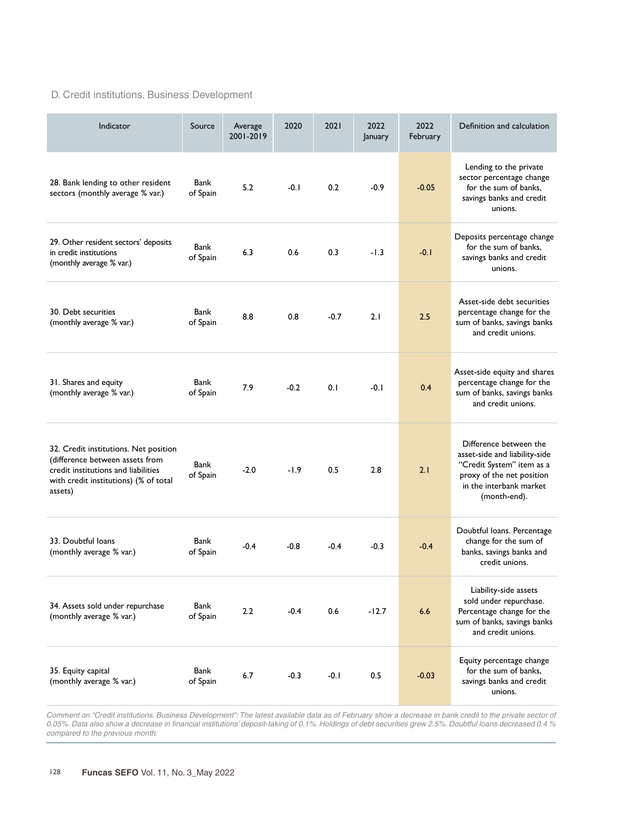### D. Credit institutions. Business Development

| Indicator                                                                                                                                                           | Source           | Average<br>2001-2019 | 2020   | 2021   | 2022<br>January | 2022<br>February | Definition and calculation                                                                                                                                   |
|---------------------------------------------------------------------------------------------------------------------------------------------------------------------|------------------|----------------------|--------|--------|-----------------|------------------|--------------------------------------------------------------------------------------------------------------------------------------------------------------|
| 28. Bank lending to other resident<br>sectors (monthly average % var.)                                                                                              | Bank<br>of Spain | 5.2                  | $-0.1$ | 0.2    | $-0.9$          | $-0.05$          | Lending to the private<br>sector percentage change<br>for the sum of banks.<br>savings banks and credit<br>unions.                                           |
| 29. Other resident sectors' deposits<br>in credit institutions<br>(monthly average % var.)                                                                          | Bank<br>of Spain | 6.3                  | 0.6    | 0.3    | $-1.3$          | $-0.1$           | Deposits percentage change<br>for the sum of banks,<br>savings banks and credit<br>unions.                                                                   |
| 30. Debt securities<br>(monthly average % var.)                                                                                                                     | Bank<br>of Spain | 8.8                  | 0.8    | $-0.7$ | 2.1             | 2.5              | Asset-side debt securities<br>percentage change for the<br>sum of banks, savings banks<br>and credit unions.                                                 |
| 31. Shares and equity<br>(monthly average % var.)                                                                                                                   | Bank<br>of Spain | 7.9                  | $-0.2$ | 0.1    | $-0.1$          | 0.4              | Asset-side equity and shares<br>percentage change for the<br>sum of banks, savings banks<br>and credit unions.                                               |
| 32. Credit institutions. Net position<br>(difference between assets from<br>credit institutions and liabilities<br>with credit institutions) (% of total<br>assets) | Bank<br>of Spain | $-2.0$               | $-1.9$ | 0.5    | 2.8             | 2.1              | Difference between the<br>asset-side and liability-side<br>"Credit System" item as a<br>proxy of the net position<br>in the interbank market<br>(month-end). |
| 33. Doubtful loans<br>(monthly average % var.)                                                                                                                      | Bank<br>of Spain | $-0.4$               | $-0.8$ | $-0.4$ | $-0.3$          | $-0.4$           | Doubtful loans. Percentage<br>change for the sum of<br>banks, savings banks and<br>credit unions.                                                            |
| 34. Assets sold under repurchase<br>(monthly average % var.)                                                                                                        | Bank<br>of Spain | 2.2                  | $-0.4$ | 0.6    | $-12.7$         | 6.6              | Liability-side assets<br>sold under repurchase.<br>Percentage change for the<br>sum of banks, savings banks<br>and credit unions.                            |
| 35. Equity capital<br>(monthly average % var.)                                                                                                                      | Bank<br>of Spain | 6.7                  | $-0.3$ | $-0.1$ | 0.5             | $-0.03$          | Equity percentage change<br>for the sum of banks,<br>savings banks and credit<br>unions.                                                                     |

Comment on "Credit institutions. Business Development": The latest available data as of February show a decrease in bank credit to the private sector of *0.05%. Data also show a decrease in financial institutions' deposit-taking of 0.1%. Holdings of debt securities grew 2.5%. Doubtful loans decreased 0.4 % compared to the previous month.*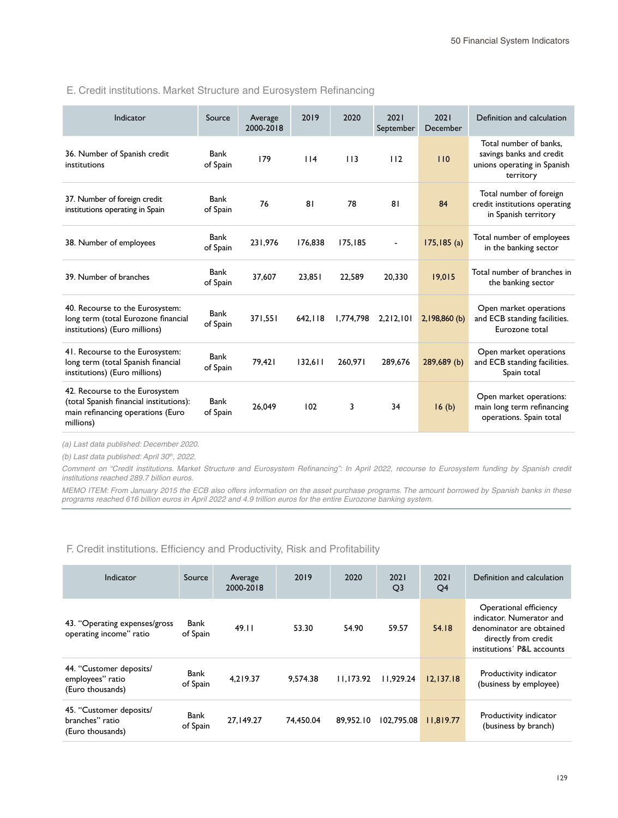#### E. Credit institutions. Market Structure and Eurosystem Refinancing

| Indicator                                                                                                                   | Source           | Average<br>2000-2018 | 2019    | 2020      | 2021<br>September | 2021<br>December | Definition and calculation                                                                     |
|-----------------------------------------------------------------------------------------------------------------------------|------------------|----------------------|---------|-----------|-------------------|------------------|------------------------------------------------------------------------------------------------|
| 36. Number of Spanish credit<br>institutions                                                                                | Bank<br>of Spain | 179                  | 114     | 113       | 112               | 110              | Total number of banks.<br>savings banks and credit<br>unions operating in Spanish<br>territory |
| 37. Number of foreign credit<br>institutions operating in Spain                                                             | Bank<br>of Spain | 76                   | 81      | 78        | 81                | 84               | Total number of foreign<br>credit institutions operating<br>in Spanish territory               |
| 38. Number of employees                                                                                                     | Bank<br>of Spain | 231.976              | 176.838 | 175.185   |                   | $175, 185$ (a)   | Total number of employees<br>in the banking sector                                             |
| 39. Number of branches                                                                                                      | Bank<br>of Spain | 37.607               | 23.851  | 22.589    | 20.330            | 19,015           | Total number of branches in<br>the banking sector                                              |
| 40. Recourse to the Eurosystem:<br>long term (total Eurozone financial<br>institutions) (Euro millions)                     | Bank<br>of Spain | 371.551              | 642.118 | 1.774.798 | 2,212,101         | 2,198,860 (b)    | Open market operations<br>and ECB standing facilities.<br>Eurozone total                       |
| 41. Recourse to the Eurosystem:<br>long term (total Spanish financial<br>institutions) (Euro millions)                      | Bank<br>of Spain | 79.421               | 132.611 | 260.971   | 289.676           | 289,689 (b)      | Open market operations<br>and ECB standing facilities.<br>Spain total                          |
| 42. Recourse to the Eurosystem<br>(total Spanish financial institutions):<br>main refinancing operations (Euro<br>millions) | Bank<br>of Spain | 26.049               | 102     | 3         | 34                | 16(b)            | Open market operations:<br>main long term refinancing<br>operations. Spain total               |

*(a) Last data published: December 2020.*

*(b) Last data published: April 30th, 2022.*

Comment on "Credit institutions. Market Structure and Eurosystem Refinancing": In April 2022, recourse to Eurosystem funding by Spanish credit *institutions reached 289.7 billion euros.* 

*MEMO ITEM: From January 2015 the ECB also offers information on the asset purchase programs. The amount borrowed by Spanish banks in these programs reached 616 billion euros in April 2022 and 4.9 trillion euros for the entire Eurozone banking system.*

F. Credit institutions. Efficiency and Productivity, Risk and Profitability

| Indicator                                                       | Source           | Average<br>2000-2018 | 2019      | 2020      | 2021<br>Q <sub>3</sub> | 2021<br>Q4 | Definition and calculation                                                                                                           |
|-----------------------------------------------------------------|------------------|----------------------|-----------|-----------|------------------------|------------|--------------------------------------------------------------------------------------------------------------------------------------|
| 43. "Operating expenses/gross<br>operating income" ratio        | Bank<br>of Spain | 49.11                | 53.30     | 54.90     | 59.57                  | 54.18      | Operational efficiency<br>indicator. Numerator and<br>denominator are obtained<br>directly from credit<br>institutions' P&L accounts |
| 44. "Customer deposits/<br>employees" ratio<br>(Euro thousands) | Bank<br>of Spain | 4.219.37             | 9.574.38  | 11.173.92 | 11.929.24              | 12.137.18  | Productivity indicator<br>(business by employee)                                                                                     |
| 45. "Customer deposits/<br>branches" ratio<br>(Euro thousands)  | Bank<br>of Spain | 27.149.27            | 74.450.04 | 89.952.10 | 102.795.08             | 11.819.77  | Productivity indicator<br>(business by branch)                                                                                       |